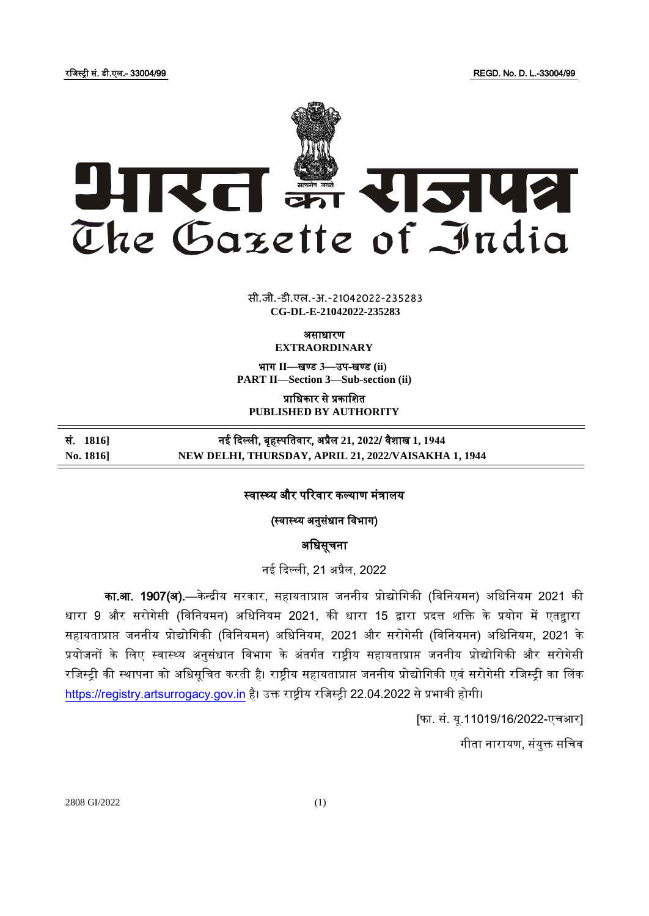रजिस्ट्री सं. डी.एल.- 33004/99 REGD. No. D. L.-33004/99



 $\overline{\phantom{a}}$   $\overline{\phantom{a}}$   $\overline{\phantom{a}}$ **xxx**GIDE**xxx** सी.जी.-डी.एल.-अ.-21042022-235283 **CG-DL-E-21042022-235283**

असाधारण

**EXTRAORDINARY**

भाग **II**—खण् ड **3**—उप-खण् ड **(ii) PART II—Section 3—Sub-section (ii)**

प्राजधकार से प्रकाजित **PUBLISHED BY AUTHORITY**

सं. **1816]** नई ददल्ली, बृहस्ट् पजतवार, अप्रैल **21, 2022**/ वैिाख **1, 1944 No. 1816] NEW DELHI, THURSDAY, APRIL 21, 2022/VAISAKHA 1, 1944**

स्वास्थ्य और परिवार कल्याण मंत्रालय

(स्वास्थ्य अनुसंधान विभाग)

अजधसूचना

नई ददल्ली, 21 अप्रैल, 2022

का.आ. 1907(अ).—केन्द्रीय सरकार, सहायताप्राप्त जननीय प्रोद्योगिकी (विनियमन) अधिनियम 2021 की धारा 9 और सरोगेसी (विनियमन) अधिनियम 2021, की धारा 15 द्वारा प्रदत्त शक्ति के प्रयोग में एतद्वारा सहायताप्राप्त जननीय प्रोद्योगिकी (विनियमन) अधिनियम, 2021 और सरोगेसी (विनियमन) अधिनियम, 2021 के प्रयोजनों के लिए स्वास्थ्य अनुसंधान विभाग के अंतर्गत राष्ट्रीय सहायताप्राप्त जननीय प्रोद्योगिकी और सरोगेसी रजिस्ट्री की स्थापना को अधिसूचित करती है। राष्ट्रीय सहायताप्राप्त जननीय प्रोद्योगिकी एवं सरोगेसी रजिस्ट्री का लिंक https://registry.artsurrogacy.gov.in है। उक्त राष्ट्रीय रजिस्ट्री 22.04.2022 से प्रभावी होगी।

[फा. सं. यू.11019/16/2022-एचआर]

गीता नारायण, संयुक्त सचिव